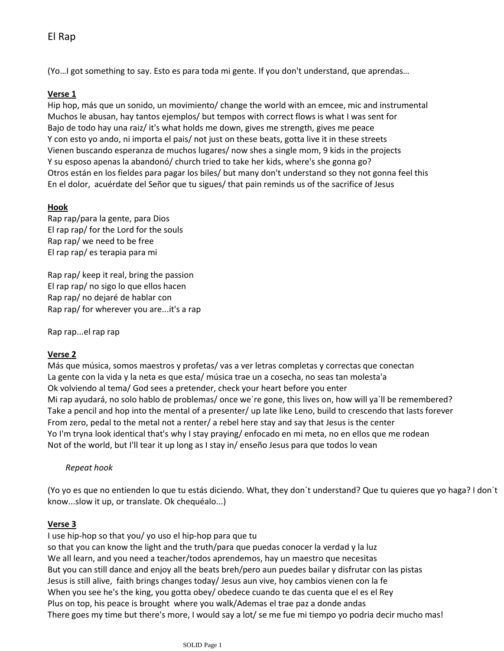(Yo…I got something to say. Esto es para toda mi gente. If you don't understand, que aprendas…

## **Verse 1**

Hip hop, más que un sonido, un movimiento/ change the world with an emcee, mic and instrumental Muchos le abusan, hay tantos ejemplos/ but tempos with correct flows is what I was sent for Bajo de todo hay una raiz/ it's what holds me down, gives me strength, gives me peace Y con esto yo ando, ni importa el pais/ not just on these beats, gotta live it in these streets Vienen buscando esperanza de muchos lugares/ now shes a single mom, 9 kids in the projects Y su esposo apenas la abandonó/ church tried to take her kids, where's she gonna go? Otros están en los fieldes para pagar los biles/ but many don't understand so they not gonna feel this En el dolor, acuérdate del Señor que tu sigues/ that pain reminds us of the sacrifice of Jesus

# **Hook**

Rap rap/para la gente, para Dios El rap rap/ for the Lord for the souls Rap rap/ we need to be free El rap rap/ es terapia para mi

Rap rap/ keep it real, bring the passion El rap rap/ no sigo lo que ellos hacen Rap rap/ no dejaré de hablar con Rap rap/ for wherever you are...it's a rap

Rap rap...el rap rap

### **Verse 2**

Más que música, somos maestros y profetas/ vas a ver letras completas y correctas que conectan La gente con la vida y la neta es que esta/ música trae un a cosecha, no seas tan molesta'a Ok volviendo al tema/ God sees a pretender, check your heart before you enter Mi rap ayudará, no solo hablo de problemas/ once we're gone, this lives on, how will ya'll be remembered? Take a pencil and hop into the mental of a presenter/ up late like Leno, build to crescendo that lasts forever From zero, pedal to the metal not a renter/ a rebel here stay and say that Jesus is the center Yo I'm tryna look identical that's why I stay praying/ enfocado en mi meta, no en ellos que me rodean Not of the world, but I'll tear it up long as I stay in/ enseño Jesus para que todos lo vean

### *Repeat hook*

(Yo yo es que no entienden lo que tu estás diciendo. What, they don´t understand? Que tu quieres que yo haga? I don´t know...slow it up, or translate. Ok chequéalo...)

### **Verse 3**

I use hip-hop so that you/ yo uso el hip-hop para que tu so that you can know the light and the truth/para que puedas conocer la verdad y la luz We all learn, and you need a teacher/todos aprendemos, hay un maestro que necesitas But you can still dance and enjoy all the beats breh/pero aun puedes bailar y disfrutar con las pistas Jesus is still alive, faith brings changes today/ Jesus aun vive, hoy cambios vienen con la fe When you see he's the king, you gotta obey/ obedece cuando te das cuenta que el es el Rey Plus on top, his peace is brought where you walk/Ademas el trae paz a donde andas There goes my time but there's more, I would say a lot/ se me fue mi tiempo yo podria decir mucho mas!